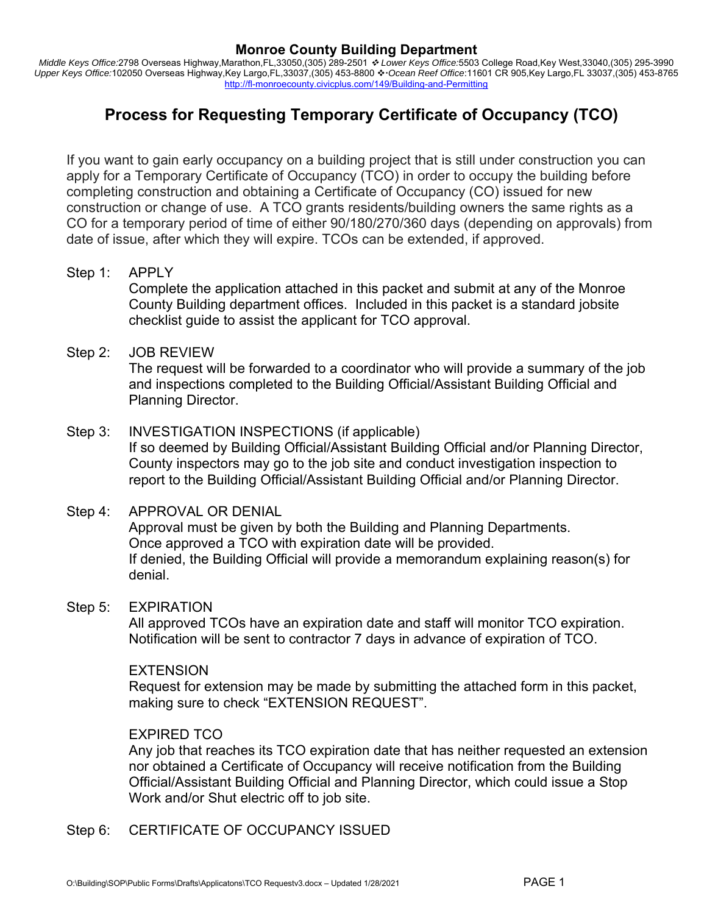# **Monroe County Building Department**

*Middle Keys Office:*2798 Overseas Highway,Marathon,FL,33050,(305) 289-2501  *Lower Keys Office:*5503 College Road,Key West,33040,(305) 295-3990 Upper Keys Office:102050 Overseas Highway,Key Largo,FL,33037,(305) 453-8800  $\cdot \cdot$  Ocean Reef Office:11601 CR 905,Key Largo,FL 33037,(305) 453-8765 http://fl-monroecounty.civicplus.com/149/Building-and-Permitting

# **Process for Requesting Temporary Certificate of Occupancy (TCO)**

If you want to gain early occupancy on a building project that is still under construction you can apply for a Temporary Certificate of Occupancy (TCO) in order to occupy the building before completing construction and obtaining a Certificate of Occupancy (CO) issued for new construction or change of use. A TCO grants residents/building owners the same rights as a CO for a temporary period of time of either 90/180/270/360 days (depending on approvals) from date of issue, after which they will expire. TCOs can be extended, if approved.

Step 1: APPLY

Complete the application attached in this packet and submit at any of the Monroe County Building department offices. Included in this packet is a standard jobsite checklist guide to assist the applicant for TCO approval.

Step 2: JOB REVIEW

The request will be forwarded to a coordinator who will provide a summary of the job and inspections completed to the Building Official/Assistant Building Official and Planning Director.

# Step 3: INVESTIGATION INSPECTIONS (if applicable) If so deemed by Building Official/Assistant Building Official and/or Planning Director, County inspectors may go to the job site and conduct investigation inspection to report to the Building Official/Assistant Building Official and/or Planning Director.

# Step 4: APPROVAL OR DENIAL Approval must be given by both the Building and Planning Departments. Once approved a TCO with expiration date will be provided. If denied, the Building Official will provide a memorandum explaining reason(s) for denial.

# Step 5: EXPIRATION

All approved TCOs have an expiration date and staff will monitor TCO expiration. Notification will be sent to contractor 7 days in advance of expiration of TCO.

# EXTENSION

Request for extension may be made by submitting the attached form in this packet, making sure to check "EXTENSION REQUEST".

# EXPIRED TCO

Any job that reaches its TCO expiration date that has neither requested an extension nor obtained a Certificate of Occupancy will receive notification from the Building Official/Assistant Building Official and Planning Director, which could issue a Stop Work and/or Shut electric off to job site.

Step 6: CERTIFICATE OF OCCUPANCY ISSUED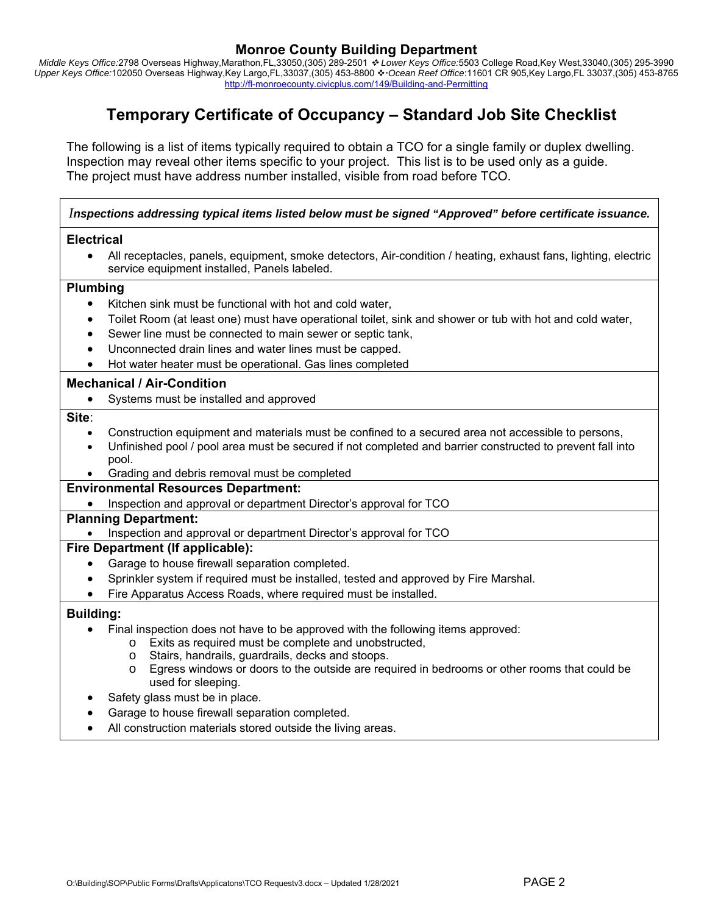## **Monroe County Building Department**

*Middle Keys Office:*2798 Overseas Highway,Marathon,FL,33050,(305) 289-2501  *Lower Keys Office:*5503 College Road,Key West,33040,(305) 295-3990 Upper Keys Office:102050 Overseas Highway,Key Largo,FL,33037,(305) 453-8800 ❖ Ocean Reef Office:11601 CR 905,Key Largo,FL 33037,(305) 453-8765 http://fl-monroecounty.civicplus.com/149/Building-and-Permitting

# **Temporary Certificate of Occupancy – Standard Job Site Checklist**

The following is a list of items typically required to obtain a TCO for a single family or duplex dwelling. Inspection may reveal other items specific to your project. This list is to be used only as a guide. The project must have address number installed, visible from road before TCO.

## *Inspections addressing typical items listed below must be signed "Approved" before certificate issuance.*

#### **Electrical**

 All receptacles, panels, equipment, smoke detectors, Air-condition / heating, exhaust fans, lighting, electric service equipment installed, Panels labeled.

#### **Plumbing**

- Kitchen sink must be functional with hot and cold water,
- Toilet Room (at least one) must have operational toilet, sink and shower or tub with hot and cold water,
- Sewer line must be connected to main sewer or septic tank,
- Unconnected drain lines and water lines must be capped.
- Hot water heater must be operational. Gas lines completed

#### **Mechanical / Air-Condition**

• Systems must be installed and approved

#### **Site**:

- Construction equipment and materials must be confined to a secured area not accessible to persons,
- Unfinished pool / pool area must be secured if not completed and barrier constructed to prevent fall into pool.
- Grading and debris removal must be completed

## **Environmental Resources Department:**

Inspection and approval or department Director's approval for TCO

#### **Planning Department:**

• Inspection and approval or department Director's approval for TCO

#### **Fire Department (If applicable):**

- Garage to house firewall separation completed.
- Sprinkler system if required must be installed, tested and approved by Fire Marshal.
- Fire Apparatus Access Roads, where required must be installed.

## **Building:**

- Final inspection does not have to be approved with the following items approved:
	- o Exits as required must be complete and unobstructed,
		- o Stairs, handrails, guardrails, decks and stoops.
	- o Egress windows or doors to the outside are required in bedrooms or other rooms that could be used for sleeping.
- Safety glass must be in place.
- Garage to house firewall separation completed.
- All construction materials stored outside the living areas.